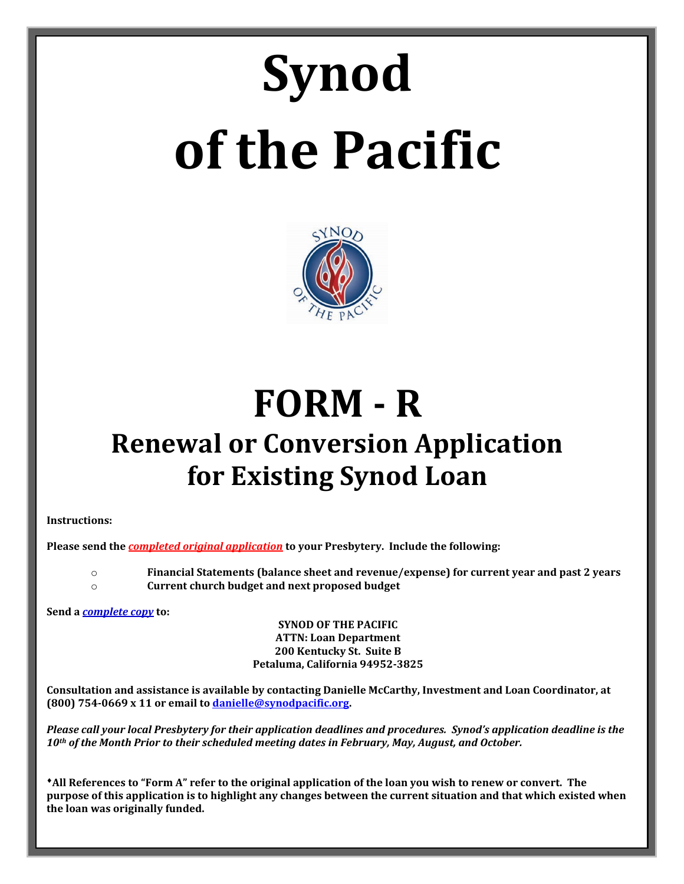# **Synod of the Pacific**



## **FORM - R Renewal or Conversion Application for Existing Synod Loan**

**Instructions:**

**Please send the** *completed original application* **to your Presbytery. Include the following:**

o **Financial Statements (balance sheet and revenue/expense) for current year and past 2 years** o **Current church budget and next proposed budget**

**Send a** *complete copy* **to:**

**SYNOD OF THE PACIFIC ATTN: Loan Department 200 Kentucky St. Suite B Petaluma, California 94952-3825**

**Consultation and assistance is available by contacting Danielle McCarthy, Investment and Loan Coordinator, at (800) 754-0669 x 11 or email t[o danielle@synodpacific.org.](mailto:danielle@synodpacific.org)** 

*Please call your local Presbytery for their application deadlines and procedures. Synod's application deadline is the 10th of the Month Prior to their scheduled meeting dates in February, May, August, and October.* 

♦**All References to "Form A" refer to the original application of the loan you wish to renew or convert. The purpose of this application is to highlight any changes between the current situation and that which existed when the loan was originally funded.**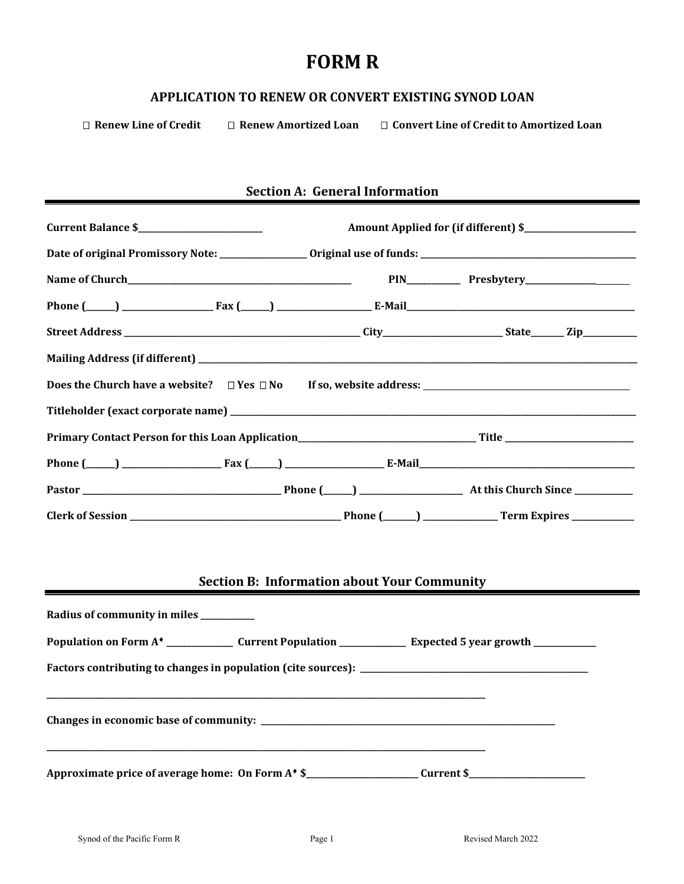### **FORM R**

#### **APPLICATION TO RENEW OR CONVERT EXISTING SYNOD LOAN**

□ Renew Line of Credit □ Renew Amortized Loan □ Convert Line of Credit to Amortized Loan

#### **Section A: General Information**

|                                                                                                                            | <b>Section B: Information about Your Community</b> |  |
|----------------------------------------------------------------------------------------------------------------------------|----------------------------------------------------|--|
| Radius of community in miles _________                                                                                     |                                                    |  |
| Population on Form A <sup>*</sup> ________________ Current Population _______________ Expected 5 year growth _____________ |                                                    |  |
|                                                                                                                            |                                                    |  |
|                                                                                                                            |                                                    |  |
| Approximate price of average home: On Form A* \$_______________________Current \$_______________________________           |                                                    |  |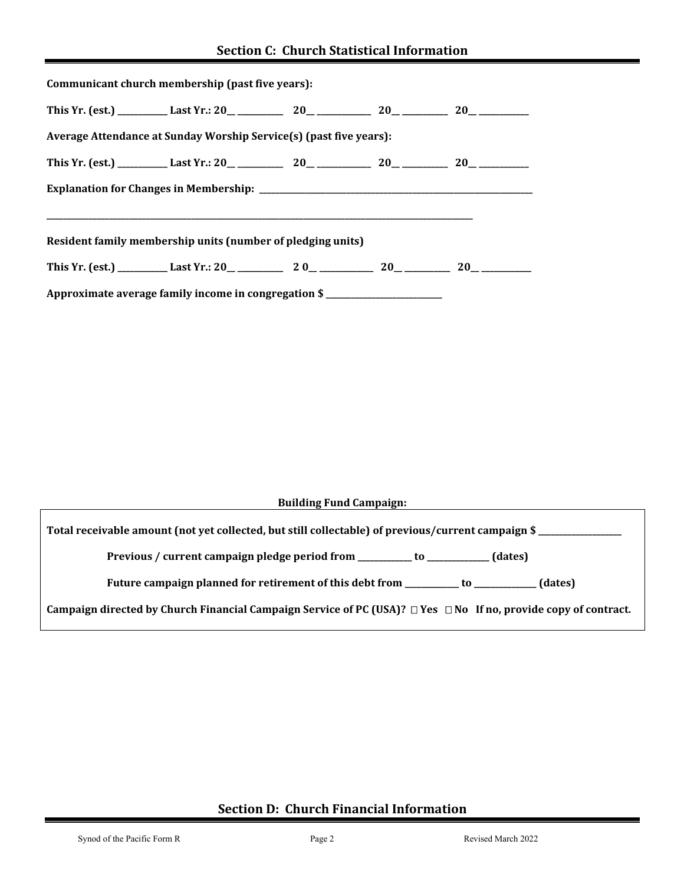| Communicant church membership (past five years):                   |  |  |
|--------------------------------------------------------------------|--|--|
|                                                                    |  |  |
| Average Attendance at Sunday Worship Service(s) (past five years): |  |  |
|                                                                    |  |  |
|                                                                    |  |  |
|                                                                    |  |  |
| Resident family membership units (number of pledging units)        |  |  |
|                                                                    |  |  |
| Approximate average family income in congregation \$               |  |  |

| <b>Building Fund Campaign:</b> |  |
|--------------------------------|--|
|--------------------------------|--|

**Total receivable amount (not yet collected, but still collectable) of previous/current campaign \$ \_\_\_\_\_\_\_\_\_\_\_\_\_\_\_\_\_\_\_\_** 

 **Previous / current campaign pledge period from \_\_\_\_\_\_\_\_\_\_\_\_\_ to \_\_\_\_\_\_\_\_\_\_\_\_\_\_\_ (dates)**

 **Future campaign planned for retirement of this debt from \_\_\_\_\_\_\_\_\_\_\_\_\_ to \_\_\_\_\_\_\_\_\_\_\_\_\_\_\_ (dates)**

**Campaign directed by Church Financial Campaign Service of PC (USA)? Yes No If no, provide copy of contract.**

#### **Section D: Church Financial Information**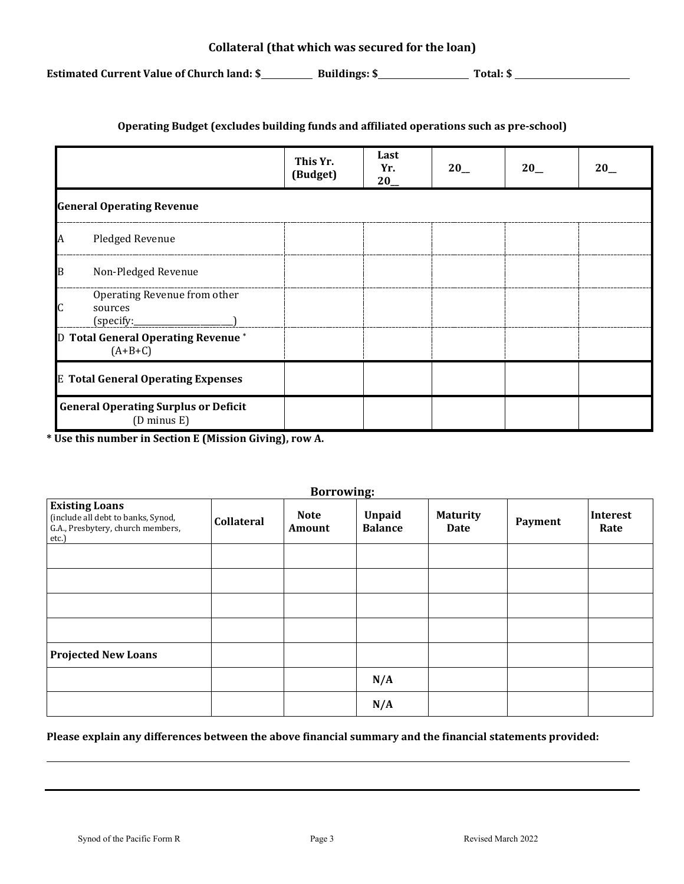**Estimated Current Value of Church land: \$ Buildings: \$ Total: \$** 

#### **Operating Budget (excludes building funds and affiliated operations such as pre-school)**

|   |                                                                       | This Yr.<br>(Budget) | Last<br>Yr.<br>$20$ <sub>--</sub> | 20 | $20$ <sub>--</sub> | 20 |
|---|-----------------------------------------------------------------------|----------------------|-----------------------------------|----|--------------------|----|
|   | <b>General Operating Revenue</b>                                      |                      |                                   |    |                    |    |
|   | Pledged Revenue                                                       |                      |                                   |    |                    |    |
| B | Non-Pledged Revenue                                                   |                      |                                   |    |                    |    |
|   | Operating Revenue from other<br>sources<br>(specify:                  |                      |                                   |    |                    |    |
|   | D Total General Operating Revenue*<br>$(A+B+C)$                       |                      |                                   |    |                    |    |
|   | <b>E Total General Operating Expenses</b>                             |                      |                                   |    |                    |    |
|   | <b>General Operating Surplus or Deficit</b><br>$(D \text{ minus } E)$ |                      |                                   |    |                    |    |

**\* Use this number in Section E (Mission Giving), row A.**

|                                                                                                           |                   | <b>Borrowing:</b>     |                                 |                         |         |                  |
|-----------------------------------------------------------------------------------------------------------|-------------------|-----------------------|---------------------------------|-------------------------|---------|------------------|
| <b>Existing Loans</b><br>(include all debt to banks, Synod,<br>G.A., Presbytery, church members,<br>etc.) | <b>Collateral</b> | <b>Note</b><br>Amount | <b>Unpaid</b><br><b>Balance</b> | <b>Maturity</b><br>Date | Payment | Interest<br>Rate |
|                                                                                                           |                   |                       |                                 |                         |         |                  |
|                                                                                                           |                   |                       |                                 |                         |         |                  |
|                                                                                                           |                   |                       |                                 |                         |         |                  |
|                                                                                                           |                   |                       |                                 |                         |         |                  |
| <b>Projected New Loans</b>                                                                                |                   |                       |                                 |                         |         |                  |
|                                                                                                           |                   |                       | N/A                             |                         |         |                  |
|                                                                                                           |                   |                       | N/A                             |                         |         |                  |

**Please explain any differences between the above financial summary and the financial statements provided:**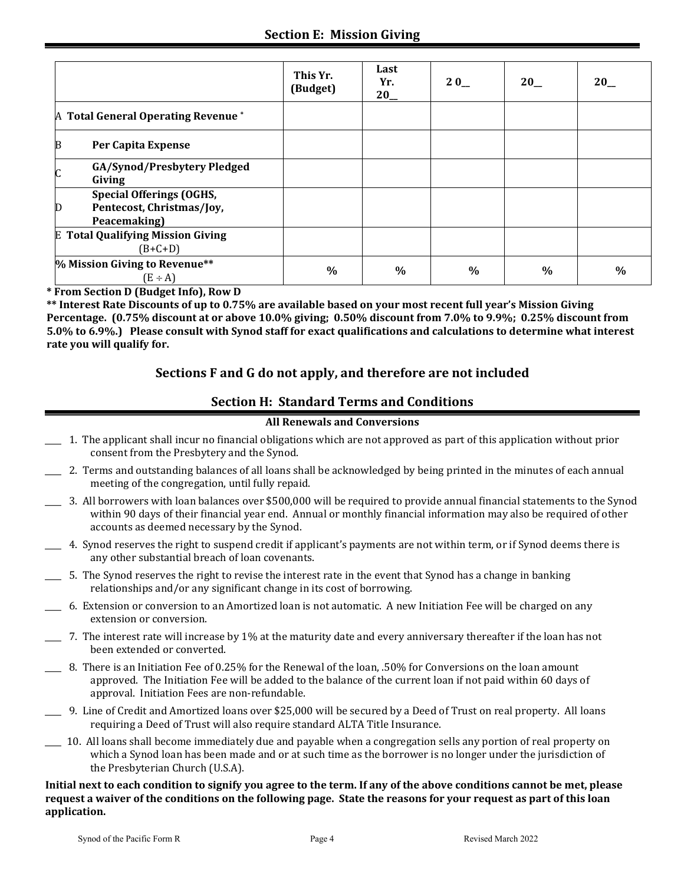|                                                                                   | This Yr.<br>(Budget) | Last<br>Yr.<br>20 | 20            | $20$ <sub>--</sub> | 20            |
|-----------------------------------------------------------------------------------|----------------------|-------------------|---------------|--------------------|---------------|
| A Total General Operating Revenue <sup>*</sup>                                    |                      |                   |               |                    |               |
| B<br>Per Capita Expense                                                           |                      |                   |               |                    |               |
| GA/Synod/Presbytery Pledged<br>C<br>Giving                                        |                      |                   |               |                    |               |
| <b>Special Offerings (OGHS,</b><br>Pentecost, Christmas/Joy,<br>D<br>Peacemaking) |                      |                   |               |                    |               |
| <b>E</b> Total Qualifying Mission Giving<br>$(B+C+D)$                             |                      |                   |               |                    |               |
| % Mission Giving to Revenue**<br>$(E \div A)$                                     | $\%$                 | $\frac{0}{0}$     | $\frac{0}{0}$ | $\%$               | $\frac{0}{0}$ |

**\* From Section D (Budget Info), Row D**

**\*\* Interest Rate Discounts of up to 0.75% are available based on your most recent full year's Mission Giving Percentage. (0.75% discount at or above 10.0% giving; 0.50% discount from 7.0% to 9.9%; 0.25% discount from 5.0% to 6.9%.) Please consult with Synod staff for exact qualifications and calculations to determine what interest rate you will qualify for.**

#### **Sections F and G do not apply, and therefore are not included**

#### **Section H: Standard Terms and Conditions**

#### **All Renewals and Conversions**

- \_\_\_\_ 1. The applicant shall incur no financial obligations which are not approved as part of this application without prior consent from the Presbytery and the Synod.
- \_\_\_\_ 2. Terms and outstanding balances of all loans shall be acknowledged by being printed in the minutes of each annual meeting of the congregation, until fully repaid.
- \_\_\_\_ 3. All borrowers with loan balances over \$500,000 will be required to provide annual financial statements to the Synod within 90 days of their financial year end. Annual or monthly financial information may also be required of other accounts as deemed necessary by the Synod.
- \_\_\_\_ 4. Synod reserves the right to suspend credit if applicant's payments are not within term, or if Synod deems there is any other substantial breach of loan covenants.
- \_\_\_\_ 5. The Synod reserves the right to revise the interest rate in the event that Synod has a change in banking relationships and/or any significant change in its cost of borrowing.
- \_\_\_\_ 6. Extension or conversion to an Amortized loan is not automatic. A new Initiation Fee will be charged on any extension or conversion.
- \_\_\_\_ 7. The interest rate will increase by 1% at the maturity date and every anniversary thereafter if the loan has not been extended or converted.
- \_\_\_\_ 8. There is an Initiation Fee of 0.25% for the Renewal of the loan, .50% for Conversions on the loan amount approved. The Initiation Fee will be added to the balance of the current loan if not paid within 60 days of approval. Initiation Fees are non-refundable.
- \_\_\_\_ 9. Line of Credit and Amortized loans over \$25,000 will be secured by a Deed of Trust on real property. All loans requiring a Deed of Trust will also require standard ALTA Title Insurance.
- \_\_\_\_ 10. All loans shall become immediately due and payable when a congregation sells any portion of real property on which a Synod loan has been made and or at such time as the borrower is no longer under the jurisdiction of the Presbyterian Church (U.S.A).

**Initial next to each condition to signify you agree to the term. If any of the above conditions cannot be met, please request a waiver of the conditions on the following page. State the reasons for your request as part of this loan application.**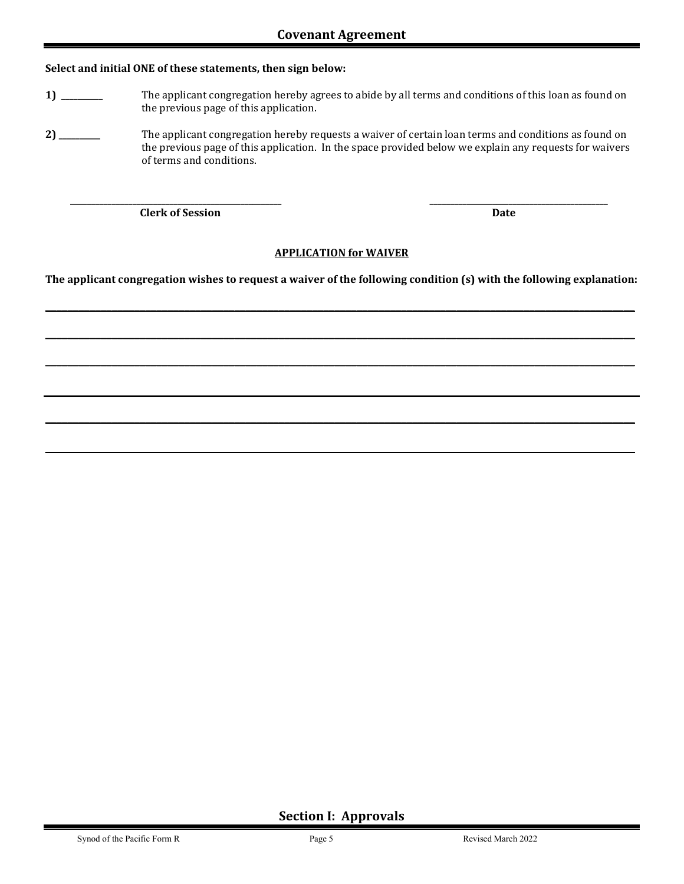#### **Select and initial ONE of these statements, then sign below:**

- **1) \_\_\_\_\_\_\_\_\_\_** The applicant congregation hereby agrees to abide by all terms and conditions of this loan as found on the previous page of this application.
- **2) \_\_\_\_\_\_\_\_\_\_** The applicant congregation hereby requests a waiver of certain loan terms and conditions as found on the previous page of this application. In the space provided below we explain any requests for waivers of terms and conditions.

 **\_\_\_\_\_\_\_\_\_\_\_\_\_\_\_\_\_\_\_\_\_\_\_\_\_\_\_\_\_\_\_\_\_\_\_\_\_\_\_\_\_\_\_\_\_\_\_\_\_\_\_ \_\_\_\_\_\_\_\_\_\_\_\_\_\_\_\_\_\_\_\_\_\_\_\_\_\_\_\_\_\_\_\_\_\_\_\_\_\_\_\_\_\_\_** 

*Clerk of Session* Date **Date** *Date* 

#### **APPLICATION for WAIVER**

**The applicant congregation wishes to request a waiver of the following condition (s) with the following explanation:** 

**\_\_\_\_\_\_\_\_\_\_\_\_\_\_\_\_\_\_\_\_\_\_\_\_\_\_\_\_\_\_\_\_\_\_\_\_\_\_\_\_\_\_\_\_\_\_\_\_\_\_\_\_\_\_\_\_\_\_\_\_\_\_\_\_\_\_\_\_\_\_\_\_\_\_\_\_\_\_\_\_\_\_\_\_\_\_\_\_\_\_\_\_\_\_\_\_\_\_\_\_\_\_\_\_\_\_**

**\_\_\_\_\_\_\_\_\_\_\_\_\_\_\_\_\_\_\_\_\_\_\_\_\_\_\_\_\_\_\_\_\_\_\_\_\_\_\_\_\_\_\_\_\_\_\_\_\_\_\_\_\_\_\_\_\_\_\_\_\_\_\_\_\_\_\_\_\_\_\_\_\_\_\_\_\_\_\_\_\_\_\_\_\_\_\_\_\_\_\_\_\_\_\_\_\_\_\_\_\_\_\_\_\_\_**

**\_\_\_\_\_\_\_\_\_\_\_\_\_\_\_\_\_\_\_\_\_\_\_\_\_\_\_\_\_\_\_\_\_\_\_\_\_\_\_\_\_\_\_\_\_\_\_\_\_\_\_\_\_\_\_\_\_\_\_\_\_\_\_\_\_\_\_\_\_\_\_\_\_\_\_\_\_\_\_\_\_\_\_\_\_\_\_\_\_\_\_\_\_\_\_\_\_\_\_\_\_\_\_\_\_\_**

**\_\_\_\_\_\_\_\_\_\_\_\_\_\_\_\_\_\_\_\_\_\_\_\_\_\_\_\_\_\_\_\_\_\_\_\_\_\_\_\_\_\_\_\_\_\_\_\_\_\_\_\_\_\_\_\_\_\_\_\_\_\_\_\_\_\_\_\_\_\_\_\_\_\_\_\_\_\_\_\_\_\_\_\_\_\_\_\_\_\_\_\_\_\_\_\_\_\_\_\_\_\_\_\_\_\_**

**\_\_\_\_\_\_\_\_\_\_\_\_\_\_\_\_\_\_\_\_\_\_\_\_\_\_\_\_\_\_\_\_\_\_\_\_\_\_\_\_\_\_\_\_\_\_\_\_\_\_\_\_\_\_\_\_\_\_\_\_\_\_\_\_\_\_\_\_\_\_\_\_\_\_\_\_\_\_\_\_\_\_\_\_\_\_\_\_** 

**Section I: Approvals**